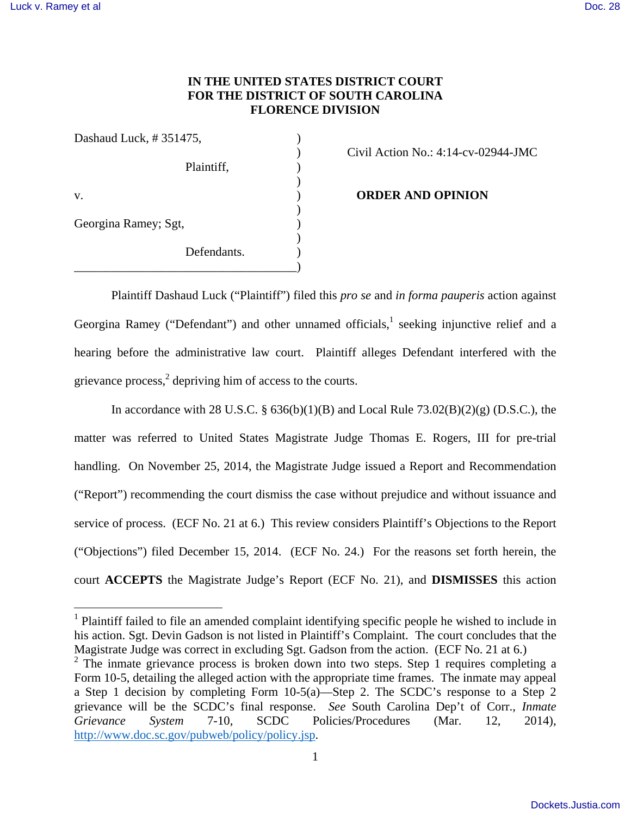# **IN THE UNITED STATES DISTRICT COURT FOR THE DISTRICT OF SOUTH CAROLINA FLORENCE DIVISION**

| Dashaud Luck, #351475, |             |
|------------------------|-------------|
|                        | Plaintiff,  |
| V.                     |             |
| Georgina Ramey; Sgt,   |             |
|                        | Defendants. |

) Civil Action No.: 4:14-cv-02944-JMC

**ORDER AND OPINION** 

 Plaintiff Dashaud Luck ("Plaintiff") filed this *pro se* and *in forma pauperis* action against Georgina Ramey ("Defendant") and other unnamed officials, $<sup>1</sup>$  seeking injunctive relief and a</sup> hearing before the administrative law court. Plaintiff alleges Defendant interfered with the grievance process,<sup>2</sup> depriving him of access to the courts.

In accordance with 28 U.S.C. §  $636(b)(1)(B)$  and Local Rule  $73.02(B)(2)(g)$  (D.S.C.), the matter was referred to United States Magistrate Judge Thomas E. Rogers, III for pre-trial handling. On November 25, 2014, the Magistrate Judge issued a Report and Recommendation ("Report") recommending the court dismiss the case without prejudice and without issuance and service of process. (ECF No. 21 at 6.) This review considers Plaintiff's Objections to the Report ("Objections") filed December 15, 2014. (ECF No. 24.) For the reasons set forth herein, the court **ACCEPTS** the Magistrate Judge's Report (ECF No. 21), and **DISMISSES** this action

<sup>&</sup>lt;sup>1</sup> Plaintiff failed to file an amended complaint identifying specific people he wished to include in his action. Sgt. Devin Gadson is not listed in Plaintiff's Complaint. The court concludes that the Magistrate Judge was correct in excluding Sgt. Gadson from the action. (ECF No. 21 at 6.)

<sup>&</sup>lt;sup>2</sup> The inmate grievance process is broken down into two steps. Step 1 requires completing a Form 10-5, detailing the alleged action with the appropriate time frames. The inmate may appeal a Step 1 decision by completing Form 10-5(a)—Step 2. The SCDC's response to a Step 2 grievance will be the SCDC's final response. *See* South Carolina Dep't of Corr., *Inmate Grievance System* 7-10, SCDC Policies/Procedures (Mar. 12, 2014), http://www.doc.sc.gov/pubweb/policy/policy.jsp.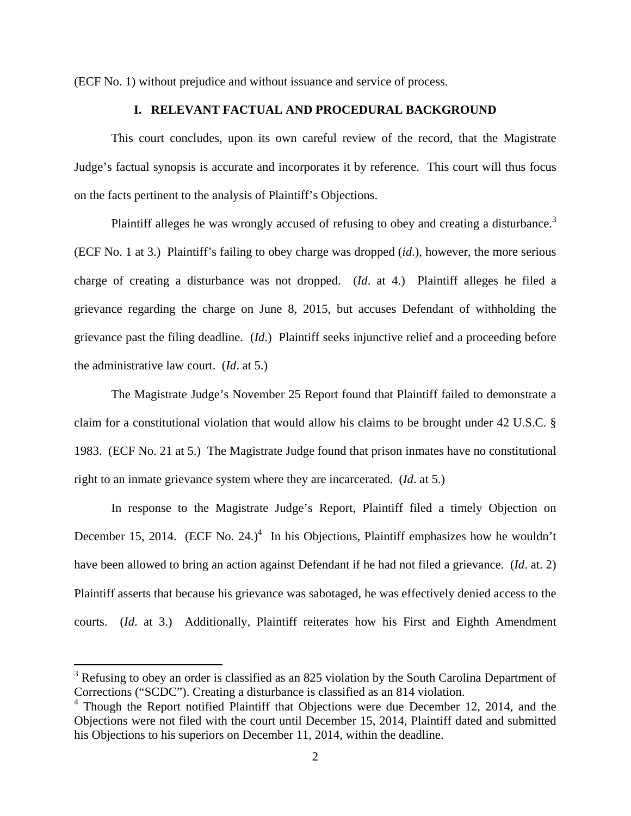(ECF No. 1) without prejudice and without issuance and service of process.

## **I. RELEVANT FACTUAL AND PROCEDURAL BACKGROUND**

This court concludes, upon its own careful review of the record, that the Magistrate Judge's factual synopsis is accurate and incorporates it by reference. This court will thus focus on the facts pertinent to the analysis of Plaintiff's Objections.

Plaintiff alleges he was wrongly accused of refusing to obey and creating a disturbance.<sup>3</sup> (ECF No. 1 at 3.) Plaintiff's failing to obey charge was dropped (*id*.), however, the more serious charge of creating a disturbance was not dropped. (*Id*. at 4.) Plaintiff alleges he filed a grievance regarding the charge on June 8, 2015, but accuses Defendant of withholding the grievance past the filing deadline. (*Id*.) Plaintiff seeks injunctive relief and a proceeding before the administrative law court. (*Id*. at 5.)

The Magistrate Judge's November 25 Report found that Plaintiff failed to demonstrate a claim for a constitutional violation that would allow his claims to be brought under 42 U.S.C. § 1983. (ECF No. 21 at 5.) The Magistrate Judge found that prison inmates have no constitutional right to an inmate grievance system where they are incarcerated. (*Id*. at 5.)

In response to the Magistrate Judge's Report, Plaintiff filed a timely Objection on December 15, 2014. (ECF No. 24.)<sup>4</sup> In his Objections, Plaintiff emphasizes how he wouldn't have been allowed to bring an action against Defendant if he had not filed a grievance. (*Id*. at. 2) Plaintiff asserts that because his grievance was sabotaged, he was effectively denied access to the courts. (*Id*. at 3.) Additionally, Plaintiff reiterates how his First and Eighth Amendment

<sup>&</sup>lt;sup>3</sup> Refusing to obey an order is classified as an 825 violation by the South Carolina Department of Corrections ("SCDC"). Creating a disturbance is classified as an 814 violation.

<sup>&</sup>lt;sup>4</sup> Though the Report notified Plaintiff that Objections were due December 12, 2014, and the Objections were not filed with the court until December 15, 2014, Plaintiff dated and submitted his Objections to his superiors on December 11, 2014, within the deadline.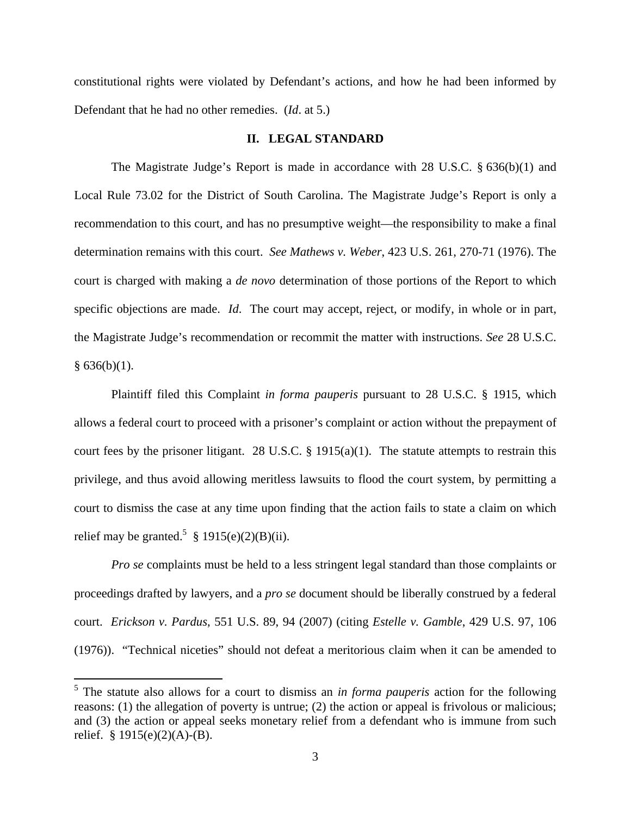constitutional rights were violated by Defendant's actions, and how he had been informed by Defendant that he had no other remedies. (*Id*. at 5.)

### **II. LEGAL STANDARD**

The Magistrate Judge's Report is made in accordance with 28 U.S.C. § 636(b)(1) and Local Rule 73.02 for the District of South Carolina. The Magistrate Judge's Report is only a recommendation to this court, and has no presumptive weight—the responsibility to make a final determination remains with this court. *See Mathews v. Weber*, 423 U.S. 261, 270-71 (1976). The court is charged with making a *de novo* determination of those portions of the Report to which specific objections are made. *Id*. The court may accept, reject, or modify, in whole or in part, the Magistrate Judge's recommendation or recommit the matter with instructions. *See* 28 U.S.C.  $§ 636(b)(1).$ 

Plaintiff filed this Complaint *in forma pauperis* pursuant to 28 U.S.C. § 1915, which allows a federal court to proceed with a prisoner's complaint or action without the prepayment of court fees by the prisoner litigant. 28 U.S.C.  $\S$  1915(a)(1). The statute attempts to restrain this privilege, and thus avoid allowing meritless lawsuits to flood the court system, by permitting a court to dismiss the case at any time upon finding that the action fails to state a claim on which relief may be granted.<sup>5</sup> § 1915(e)(2)(B)(ii).

*Pro se* complaints must be held to a less stringent legal standard than those complaints or proceedings drafted by lawyers, and a *pro se* document should be liberally construed by a federal court. *Erickson v. Pardus*, 551 U.S. 89, 94 (2007) (citing *Estelle v. Gamble*, 429 U.S. 97, 106 (1976)). "Technical niceties" should not defeat a meritorious claim when it can be amended to

 5 The statute also allows for a court to dismiss an *in forma pauperis* action for the following reasons: (1) the allegation of poverty is untrue; (2) the action or appeal is frivolous or malicious; and (3) the action or appeal seeks monetary relief from a defendant who is immune from such relief.  $§ 1915(e)(2)(A)-(B)$ .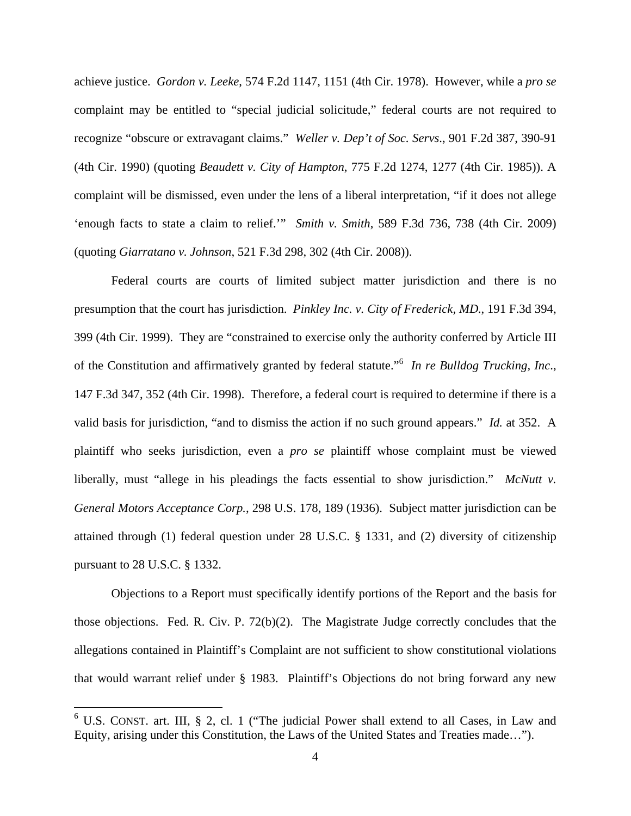achieve justice. *Gordon v. Leeke*, 574 F.2d 1147, 1151 (4th Cir. 1978). However, while a *pro se* complaint may be entitled to "special judicial solicitude," federal courts are not required to recognize "obscure or extravagant claims." *Weller v. Dep't of Soc. Servs*., 901 F.2d 387, 390-91 (4th Cir. 1990) (quoting *Beaudett v. City of Hampton*, 775 F.2d 1274, 1277 (4th Cir. 1985)). A complaint will be dismissed, even under the lens of a liberal interpretation, "if it does not allege 'enough facts to state a claim to relief.'" *Smith v. Smith*, 589 F.3d 736, 738 (4th Cir. 2009) (quoting *Giarratano v. Johnson*, 521 F.3d 298, 302 (4th Cir. 2008)).

Federal courts are courts of limited subject matter jurisdiction and there is no presumption that the court has jurisdiction. *Pinkley Inc. v. City of Frederick, MD*., 191 F.3d 394, 399 (4th Cir. 1999). They are "constrained to exercise only the authority conferred by Article III of the Constitution and affirmatively granted by federal statute."<sup>6</sup> *In re Bulldog Trucking, Inc*., 147 F.3d 347, 352 (4th Cir. 1998). Therefore, a federal court is required to determine if there is a valid basis for jurisdiction, "and to dismiss the action if no such ground appears." *Id.* at 352. A plaintiff who seeks jurisdiction, even a *pro se* plaintiff whose complaint must be viewed liberally, must "allege in his pleadings the facts essential to show jurisdiction." *McNutt v. General Motors Acceptance Corp.*, 298 U.S. 178, 189 (1936). Subject matter jurisdiction can be attained through (1) federal question under 28 U.S.C. § 1331, and (2) diversity of citizenship pursuant to 28 U.S.C. § 1332.

Objections to a Report must specifically identify portions of the Report and the basis for those objections. Fed. R. Civ. P. 72(b)(2). The Magistrate Judge correctly concludes that the allegations contained in Plaintiff's Complaint are not sufficient to show constitutional violations that would warrant relief under § 1983. Plaintiff's Objections do not bring forward any new

 $6$  U.S. CONST. art. III, § 2, cl. 1 ("The judicial Power shall extend to all Cases, in Law and Equity, arising under this Constitution, the Laws of the United States and Treaties made…").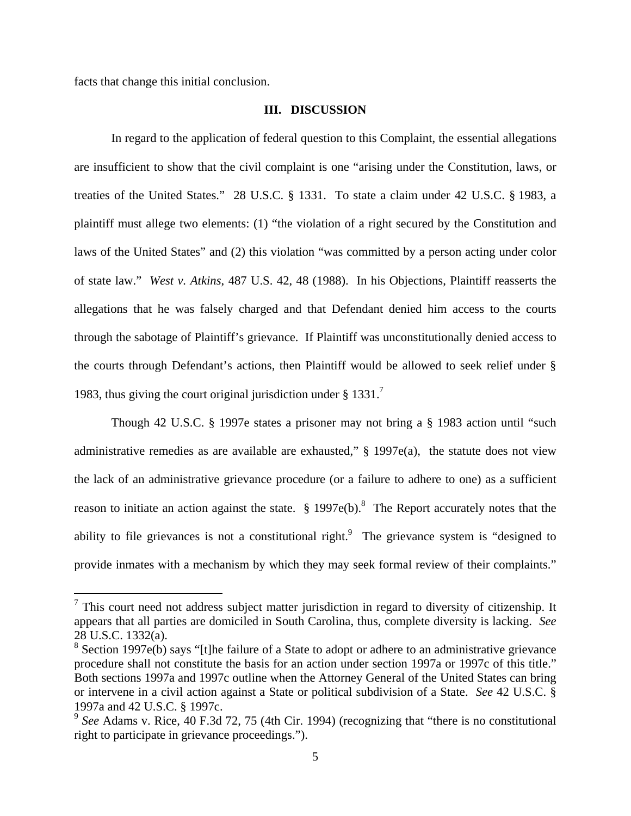facts that change this initial conclusion.

### **III. DISCUSSION**

In regard to the application of federal question to this Complaint, the essential allegations are insufficient to show that the civil complaint is one "arising under the Constitution, laws, or treaties of the United States." 28 U.S.C. § 1331. To state a claim under 42 U.S.C. § 1983, a plaintiff must allege two elements: (1) "the violation of a right secured by the Constitution and laws of the United States" and (2) this violation "was committed by a person acting under color of state law." *West v. Atkins*, 487 U.S. 42, 48 (1988). In his Objections, Plaintiff reasserts the allegations that he was falsely charged and that Defendant denied him access to the courts through the sabotage of Plaintiff's grievance. If Plaintiff was unconstitutionally denied access to the courts through Defendant's actions, then Plaintiff would be allowed to seek relief under § 1983, thus giving the court original jurisdiction under  $\S 1331$ .

Though 42 U.S.C. § 1997e states a prisoner may not bring a § 1983 action until "such administrative remedies as are available are exhausted," § 1997e(a), the statute does not view the lack of an administrative grievance procedure (or a failure to adhere to one) as a sufficient reason to initiate an action against the state.  $\S 1997e(b)$ .<sup>8</sup> The Report accurately notes that the ability to file grievances is not a constitutional right.<sup>9</sup> The grievance system is "designed to provide inmates with a mechanism by which they may seek formal review of their complaints."

 $<sup>7</sup>$  This court need not address subject matter jurisdiction in regard to diversity of citizenship. It</sup> appears that all parties are domiciled in South Carolina, thus, complete diversity is lacking. *See* 28 U.S.C. 1332(a).

 $8$  Section 1997e(b) says "[t]he failure of a State to adopt or adhere to an administrative grievance procedure shall not constitute the basis for an action under section 1997a or 1997c of this title." Both sections 1997a and 1997c outline when the Attorney General of the United States can bring or intervene in a civil action against a State or political subdivision of a State. *See* 42 U.S.C. § 1997a and 42 U.S.C. § 1997c.

<sup>&</sup>lt;sup>9</sup> See Adams v. Rice, 40 F.3d 72, 75 (4th Cir. 1994) (recognizing that "there is no constitutional right to participate in grievance proceedings.").